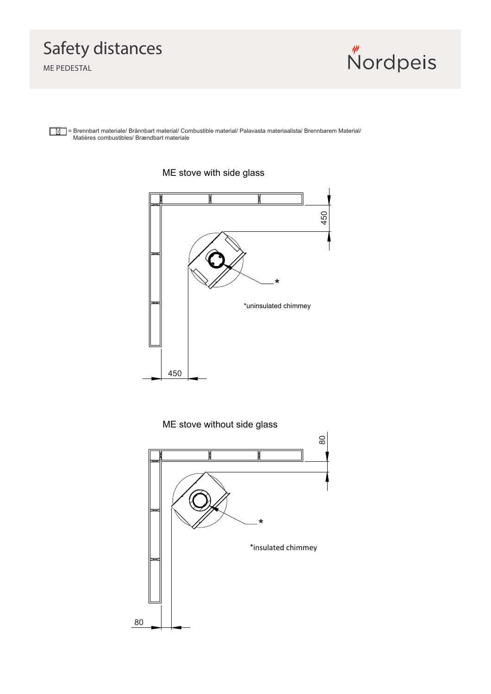## Safety distances

ME PEDESTAL



= Brennbart materiale/ Brännbart material/ Combustible material/ Palavasta materiaalista/ Brennbarem Material/ Matières combustibles/ Brændbart materiale



## ME stove with side glass

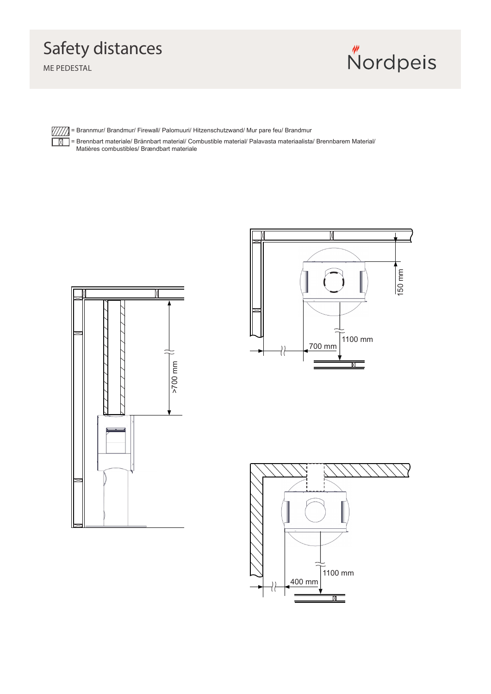## Safety distances

ME PEDESTAL

 $\sqrt{/\!/}/\!/$  $\Box$ 

**Nordpeis** 

= Brannmur/ Brandmur/ Firewall/ Palomuuri/ Hitzenschutzwand/ Mur pare feu/ Brandmur

= Brennbart materiale/ Brännbart material/ Combustible material/ Palavasta materiaalista/ Brennbarem Material/ Matières combustibles/ Brændbart materiale